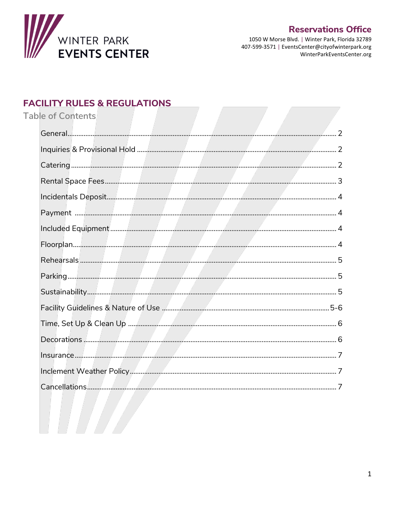

# **Reservations Office**

1050 W Morse Blvd. | Winter Park, Florida 32789 407-599-3571 | EventsCenter@cityofwinterpark.org WinterParkEventsCenter.org

# **FACILITY RULES & REGULATIONS**

**Table of Contents**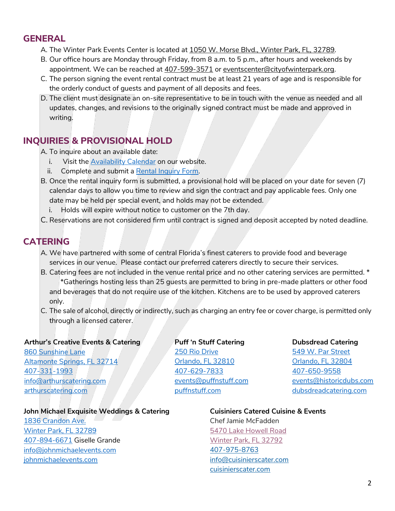### **GENERAL**

- A. The Winter Park Events Center is located at [1050 W. Morse Blvd., Winter Park, FL, 32789.](https://goo.gl/maps/vUQmwnJYXWgNHBfN9)
- B. Our office hours are Monday through Friday, from 8 a.m. to 5 p.m., after hours and weekends by appointment. We can be reached a[t 407-599-3571](tel:407-599-3571) o[r eventscenter@cityofwinterpark.org.](mailto:eventscenter@cityofwinterpark.org)
- C. The person signing the event rental contract must be at least 21 years of age and is responsible for the orderly conduct of guests and payment of all deposits and fees.
- D. The client must designate an on-site representative to be in touch with the venue as needed and all updates, changes, and revisions to the originally signed contract must be made and approved in writing.

# **INQUIRIES & PROVISIONAL HOLD**

- A. To inquire about an available date:
	- i. Visit the [Availability Calendar](https://cityofwinterpark.org/departments/parks-recreation/library-events-center/reservations/calendar/) on our website.
	- ii. Complete and submit a [Rental Inquiry Form.](https://cityofwinterpark.org/departments/parks-recreation/library-events-center/reservations/rental-inquiry/)
- B. Once the rental inquiry form is submitted, a provisional hold will be placed on your date for seven (7) calendar days to allow you time to review and sign the contract and pay applicable fees. Only one date may be held per special event, and holds may not be extended.
	- i. Holds will expire without notice to customer on the 7th day.
- C. Reservations are not considered firm until contract is signed and deposit accepted by noted deadline.

### **CATERING**

- A. We have partnered with some of central Florida's finest caterers to provide food and beverage services in our venue. Please contact our preferred caterers directly to secure their services.
- B. Catering fees are not included in the venue rental price and no other catering services are permitted. \* \*Gatherings hosting less than 25 guests are permitted to bring in pre-made platters or other food and beverages that do not require use of the kitchen. Kitchens are to be used by approved caterers only.
- C. The sale of alcohol, directly or indirectly, such as charging an entry fee or cover charge, is permitted only through a licensed caterer.

#### **Arthur's Creative Events & Catering**

[860 Sunshine Lane](https://goo.gl/maps/RG5gsWi3oXAuej8j7) [Altamonte Springs, FL 32714](https://goo.gl/maps/RG5gsWi3oXAuej8j7) [407-331-1993](tel:407-331-1993) [info@arthurscatering.com](mailto:info@arthurscatering.com) [arthurscatering.com](http://www.arthurscatering.com/)

#### **John Michael Exquisite Weddings & Catering**

[1836 Crandon Ave.](https://goo.gl/maps/uRZ8NNGPqQWNMVAfA) [Winter Park, FL 32789](https://goo.gl/maps/uRZ8NNGPqQWNMVAfA) [407-894-6671](tel:407-894-6671) Giselle Grande [info@johnmichaelevents.com](mailto:info@johnmichaelevents.com) [johnmichaelevents.com](http://www.johnmichaelevents.com/)

#### **Puff 'n Stuff Catering** [250 Rio Drive](https://goo.gl/maps/aBaEPquYrgx4utCJ6) [Orlando, FL 32810](https://goo.gl/maps/aBaEPquYrgx4utCJ6)

[407-629-7833](tel:407-629-7833) [events@puffnstuff.com](mailto:events@puffnstuff.com) [puffnstuff.com](http://www.puffnstuff.com/)

#### **Dubsdread Catering**

[549 W. Par Street](https://goo.gl/maps/1WHtuCvFTBBJnjU2A) [Orlando, FL 32804](https://goo.gl/maps/1WHtuCvFTBBJnjU2A) [407-650-9558](tel:407-650-9558) [events@historicdubs.com](mailto:events@historicdubs.com) [dubsdreadcatering.com](http://www.dubsdreadcatering.com/)

#### **Cuisiniers Catered Cuisine & Events**

Chef Jamie McFadden [5470 Lake Howell Road](https://www.google.com/maps/place/5470+Lake+Howell+Rd,+Winter+Park,+FL+32792/@28.6230952,-81.3230219,15z/data=!4m13!1m7!3m6!1s0x88e76fcb898127e1:0x579ec49b405b62f0!2s5470+Lake+Howell+Rd,+Winter+Park,+FL+32792!3b1!8m2!3d28.6230472!4d-81.3232154!3m4!1s0x88e76fcb898127e1:0x579ec49b405b62f0!8m2!3d28.6230472!4d-81.3232154)  [Winter Park, FL 32792](https://www.google.com/maps/place/5470+Lake+Howell+Rd,+Winter+Park,+FL+32792/@28.6230952,-81.3230219,15z/data=!4m13!1m7!3m6!1s0x88e76fcb898127e1:0x579ec49b405b62f0!2s5470+Lake+Howell+Rd,+Winter+Park,+FL+32792!3b1!8m2!3d28.6230472!4d-81.3232154!3m4!1s0x88e76fcb898127e1:0x579ec49b405b62f0!8m2!3d28.6230472!4d-81.3232154) [407-975-8763](tel:407-975-8763) [info@cuisinierscater.com](mailto:info@cuisinierscater.com) [cuisinierscater.com](http://cuisinierscater.com/)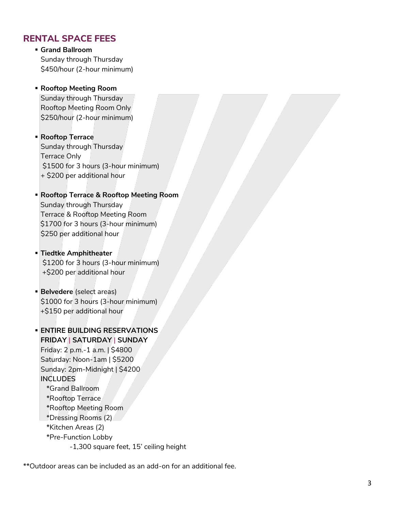### **RENTAL SPACE FEES**

▪ **Grand Ballroom** Sunday through Thursday \$450/hour (2-hour minimum)

### ▪ **Rooftop Meeting Room**

Sunday through Thursday Rooftop Meeting Room Only \$250/hour (2-hour minimum)

### ▪ **Rooftop Terrace** Sunday through Thursday Terrace Only

\$1500 for 3 hours (3-hour minimum) + \$200 per additional hour

#### ▪ **Rooftop Terrace & Rooftop Meeting Room** Sunday through Thursday Terrace & Rooftop Meeting Room \$1700 for 3 hours (3-hour minimum)

▪ **Tiedtke Amphitheater**  \$1200 for 3 hours (3-hour minimum)

\$250 per additional hour

+\$200 per additional hour

▪ **Belvedere** (select areas) \$1000 for 3 hours (3-hour minimum) +\$150 per additional hour

### ▪ **ENTIRE BUILDING RESERVATIONS FRIDAY | SATURDAY | SUNDAY** Friday: 2 p.m.-1 a.m. | \$4800 Saturday: Noon-1am | \$5200 Sunday: 2pm-Midnight | \$4200 **INCLUDES** \*Grand Ballroom \*Rooftop Terrace \*Rooftop Meeting Room \*Dressing Rooms (2) \*Kitchen Areas (2) \*Pre-Function Lobby

-1,300 square feet, 15' ceiling height

\*\*Outdoor areas can be included as an add-on for an additional fee.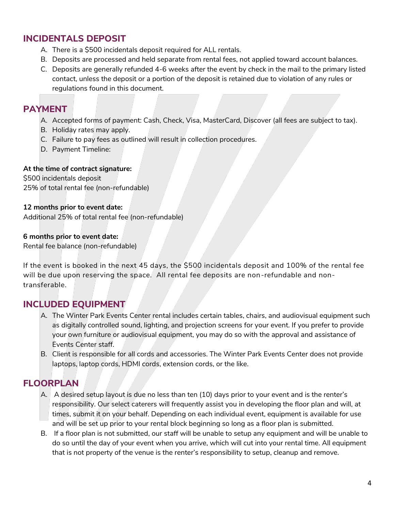# **INCIDENTALS DEPOSIT**

- A. There is a \$500 incidentals deposit required for ALL rentals.
- B. Deposits are processed and held separate from rental fees, not applied toward account balances.
- C. Deposits are generally refunded 4-6 weeks after the event by check in the mail to the primary listed contact, unless the deposit or a portion of the deposit is retained due to violation of any rules or regulations found in this document.

### **PAYMENT**

- A. Accepted forms of payment: Cash, Check, Visa, MasterCard, Discover (all fees are subject to tax).
- B. Holiday rates may apply.
- C. Failure to pay fees as outlined will result in collection procedures.
- D. Payment Timeline:

#### **At the time of contract signature:**

\$500 incidentals deposit 25% of total rental fee (non-refundable)

#### **12 months prior to event date:**

Additional 25% of total rental fee (non-refundable)

#### **6 months prior to event date:**

Rental fee balance (non-refundable)

If the event is booked in the next 45 days, the \$500 incidentals deposit and 100% of the rental fee will be due upon reserving the space. All rental fee deposits are non-refundable and nontransferable.

## **INCLUDED EQUIPMENT**

- A. The Winter Park Events Center rental includes certain tables, chairs, and audiovisual equipment such as digitally controlled sound, lighting, and projection screens for your event. If you prefer to provide your own furniture or audiovisual equipment, you may do so with the approval and assistance of Events Center staff.
- B. Client is responsible for all cords and accessories. The Winter Park Events Center does not provide laptops, laptop cords, HDMI cords, extension cords, or the like.

## **FLOORPLAN**

- A. A desired setup layout is due no less than ten (10) days prior to your event and is the renter's responsibility. Our select caterers will frequently assist you in developing the floor plan and will, at times, submit it on your behalf. Depending on each individual event, equipment is available for use and will be set up prior to your rental block beginning so long as a floor plan is submitted.
- B. If a floor plan is not submitted, our staff will be unable to setup any equipment and will be unable to do so until the day of your event when you arrive, which will cut into your rental time. All equipment that is not property of the venue is the renter's responsibility to setup, cleanup and remove.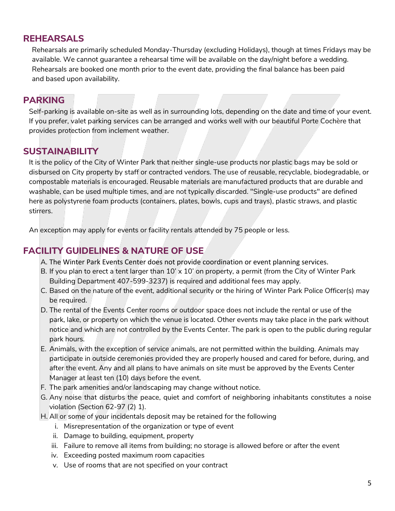# **REHEARSALS**

Rehearsals are primarily scheduled Monday-Thursday (excluding Holidays), though at times Fridays may be available. We cannot guarantee a rehearsal time will be available on the day/night before a wedding. Rehearsals are booked one month prior to the event date, providing the final balance has been paid and based upon availability.

## **PARKING**

Self-parking is available on-site as well as in surrounding lots, depending on the date and time of your event. If you prefer, valet parking services can be arranged and works well with our beautiful Porte Cochère that provides protection from inclement weather.

## **SUSTAINABILITY**

It is the policy of the City of Winter Park that neither single-use products nor plastic bags may be sold or disbursed on City property by staff or contracted vendors. The use of reusable, recyclable, biodegradable, or compostable materials is encouraged. Reusable materials are manufactured products that are durable and washable, can be used multiple times, and are not typically discarded. "Single-use products" are defined here as polystyrene foam products (containers, plates, bowls, cups and trays), plastic straws, and plastic stirrers.

An exception may apply for events or facility rentals attended by 75 people or less.

### **FACILITY GUIDELINES & NATURE OF USE**

- A. The Winter Park Events Center does not provide coordination or event planning services.
- B. If you plan to erect a tent larger than  $10' \times 10'$  on property, a permit (from the City of Winter Park Building Department 407-599-3237) is required and additional fees may apply.
- C. Based on the nature of the event, additional security or the hiring of Winter Park Police Officer(s) may be required.
- D. The rental of the Events Center rooms or outdoor space does not include the rental or use of the park, lake, or property on which the venue is located. Other events may take place in the park without notice and which are not controlled by the Events Center. The park is open to the public during regular park hours.
- E. Animals, with the exception of service animals, are not permitted within the building. Animals may participate in outside ceremonies provided they are properly housed and cared for before, during, and after the event. Any and all plans to have animals on site must be approved by the Events Center Manager at least ten (10) days before the event.
- F. The park amenities and/or landscaping may change without notice.
- G. Any noise that disturbs the peace, quiet and comfort of neighboring inhabitants constitutes a noise violation (Section 62-97 (2) 1).
- H. All or some of your incidentals deposit may be retained for the following
	- i. Misrepresentation of the organization or type of event
	- ii. Damage to building, equipment, property
	- iii. Failure to remove all items from building; no storage is allowed before or after the event
	- iv. Exceeding posted maximum room capacities
	- v. Use of rooms that are not specified on your contract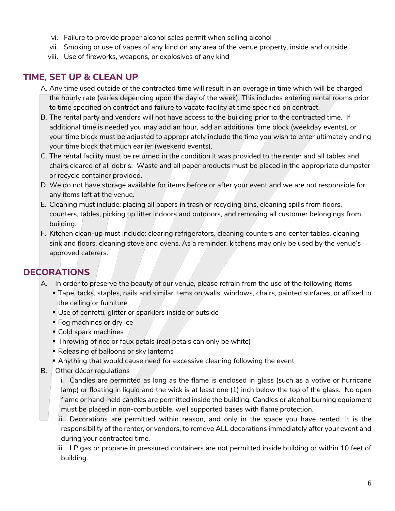- vi. Failure to provide proper alcohol sales permit when selling alcohol
- vii. Smoking or use of vapes of any kind on any area of the venue property, inside and outside
- viii. Use of fireworks, weapons, or explosives of any kind

# **TIME, SET UP & CLEAN UP**

- A. Any time used outside of the contracted time will result in an overage in time which will be charged the hourly rate (varies depending upon the day of the week). This includes entering rental rooms prior to time specified on contract and failure to vacate facility at time specified on contract.
- B. The rental party and vendors will not have access to the building prior to the contracted time. If additional time is needed you may add an hour, add an additional time block (weekday events), or your time block must be adjusted to appropriately include the time you wish to enter ultimately ending your time block that much earlier (weekend events).
- C. The rental facility must be returned in the condition it was provided to the renter and all tables and chairs cleared of all debris. Waste and all paper products must be placed in the appropriate dumpster or recycle container provided.
- D. We do not have storage available for items before or after your event and we are not responsible for any items left at the venue.
- E. Cleaning must include: placing all papers in trash or recycling bins, cleaning spills from floors, counters, tables, picking up litter indoors and outdoors, and removing all customer belongings from building.
- F. Kitchen clean-up must include: clearing refrigerators, cleaning counters and center tables, cleaning sink and floors, cleaning stove and ovens. As a reminder, kitchens may only be used by the venue's approved caterers.

## **DECORATIONS**

- A. In order to preserve the beauty of our venue, please refrain from the use of the following items
	- Tape, tacks, staples, nails and similar items on walls, windows, chairs, painted surfaces, or affixed to the ceiling or furniture
	- **Use of confetti, glitter or sparklers inside or outside**
	- **Fog machines or dry ice**
	- Cold spark machines
	- **Throwing of rice or faux petals (real petals can only be white)**
	- **Releasing of balloons or sky lanterns**
	- **Anything that would cause need for excessive cleaning following the event**
- B. Other décor regulations
	- i. Candles are permitted as long as the flame is enclosed in glass (such as a votive or hurricane lamp) or floating in liquid and the wick is at least one (1) inch below the top of the glass. No open flame or hand-held candles are permitted inside the building. Candles or alcohol burning equipment must be placed in non-combustible, well supported bases with flame protection.
	- ii. Decorations are permitted within reason, and only in the space you have rented. It is the responsibility of the renter, or vendors, to remove ALL decorations immediately after your event and during your contracted time.
	- iii. LP gas or propane in pressured containers are not permitted inside building or within 10 feet of building.